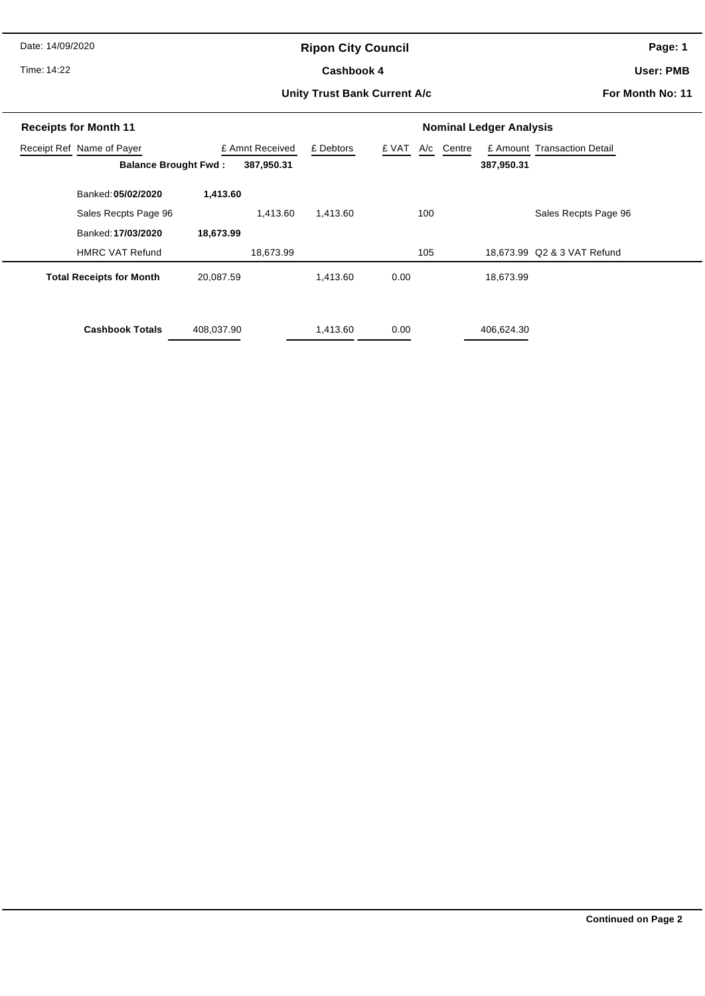Date: 14/09/2020

# **Ripon City Council**

Time: 14:22

#### Cashbook 4

**Page: 1**

**User: PMB**

#### **Unity Trust Bank Current A/c**

**For Month No: 11**

| <b>Receipts for Month 11</b>    |                 |                      | <b>Nominal Ledger Analysis</b> |            |                             |  |  |  |
|---------------------------------|-----------------|----------------------|--------------------------------|------------|-----------------------------|--|--|--|
| Receipt Ref Name of Payer       | £ Amnt Received | £ Debtors            | £ VAT<br>A/c                   | Centre     | £ Amount Transaction Detail |  |  |  |
| <b>Balance Brought Fwd:</b>     |                 | 387,950.31           |                                | 387,950.31 |                             |  |  |  |
| Banked: 05/02/2020              | 1,413.60        |                      |                                |            |                             |  |  |  |
| Sales Recpts Page 96            |                 | 1,413.60<br>1,413.60 | 100                            |            | Sales Recpts Page 96        |  |  |  |
| Banked: 17/03/2020              | 18,673.99       |                      |                                |            |                             |  |  |  |
| <b>HMRC VAT Refund</b>          |                 | 18,673.99            | 105                            |            | 18,673.99 Q2 & 3 VAT Refund |  |  |  |
| <b>Total Receipts for Month</b> | 20,087.59       | 1,413.60             | 0.00                           | 18,673.99  |                             |  |  |  |
| <b>Cashbook Totals</b>          | 408,037.90      | 1,413.60             | 0.00                           | 406,624.30 |                             |  |  |  |